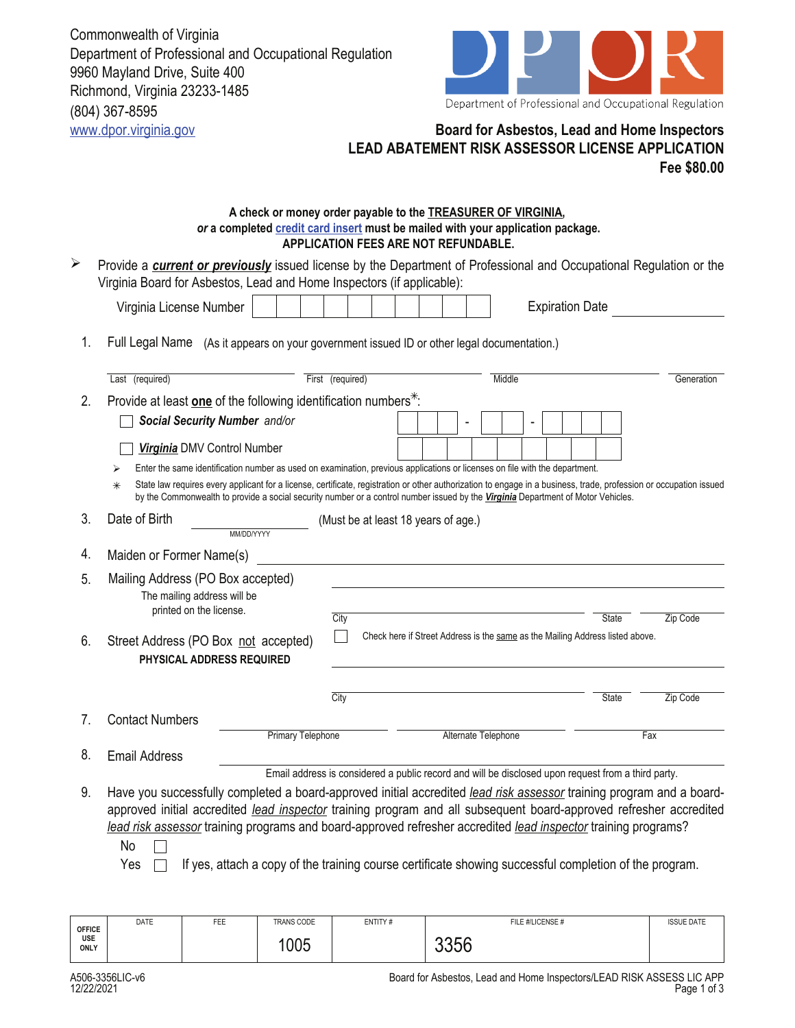Commonwealth of Virginia Department of Professional and Occupational Regulation 9960 Mayland Drive, Suite 400 Richmond, Virginia 23233-1485 (804) 367-8595



## www.dpor.virginia.gov **Board for Asbestos, Lead and Home Inspectors LEAD ABATEMENT RISK ASSESSOR LICENSE APPLICATION Fee \$80.00**

## **A check or money order payable to the TREASURER OF VIRGINIA,**  *or* **a completed credit card insert must be mailed with your application package. APPLICATION FEES ARE NOT REFUNDABLE.**

Provide a *current or previously* issued license by the Department of Professional and Occupational Regulation or the Virginia Board for Asbestos, Lead and Home Inspectors (if applicable):  $\blacktriangleright$ 

| Last (required)                                                             | Middle<br>First (required)                                                                                                                                                                                                                                                                             | Generation |
|-----------------------------------------------------------------------------|--------------------------------------------------------------------------------------------------------------------------------------------------------------------------------------------------------------------------------------------------------------------------------------------------------|------------|
| Provide at least one of the following identification numbers <sup>*</sup> : |                                                                                                                                                                                                                                                                                                        |            |
| Social Security Number and/or                                               |                                                                                                                                                                                                                                                                                                        |            |
| Virginia DMV Control Number                                                 |                                                                                                                                                                                                                                                                                                        |            |
|                                                                             | Enter the same identification number as used on examination, previous applications or licenses on file with the department.                                                                                                                                                                            |            |
| $\ast$                                                                      | State law requires every applicant for a license, certificate, registration or other authorization to engage in a business, trade, profession or occupation issued<br>by the Commonwealth to provide a social security number or a control number issued by the Virginia Department of Motor Vehicles. |            |
| Date of Birth                                                               | (Must be at least 18 years of age.)                                                                                                                                                                                                                                                                    |            |
| MM/DD/YYYY                                                                  |                                                                                                                                                                                                                                                                                                        |            |
| Maiden or Former Name(s)                                                    |                                                                                                                                                                                                                                                                                                        |            |
| Mailing Address (PO Box accepted)                                           |                                                                                                                                                                                                                                                                                                        |            |
| The mailing address will be                                                 |                                                                                                                                                                                                                                                                                                        |            |
| printed on the license.                                                     | City<br>State<br>Zip Code                                                                                                                                                                                                                                                                              |            |
| Street Address (PO Box not accepted)                                        | Check here if Street Address is the same as the Mailing Address listed above.                                                                                                                                                                                                                          |            |
| PHYSICAL ADDRESS REQUIRED                                                   |                                                                                                                                                                                                                                                                                                        |            |
|                                                                             | City<br>Zip Code<br><b>State</b>                                                                                                                                                                                                                                                                       |            |
| <b>Contact Numbers</b>                                                      |                                                                                                                                                                                                                                                                                                        |            |
| <b>Primary Telephone</b>                                                    | Alternate Telephone<br>Fax                                                                                                                                                                                                                                                                             |            |
| <b>Email Address</b>                                                        |                                                                                                                                                                                                                                                                                                        |            |
|                                                                             | Email address is considered a public record and will be disclosed upon request from a third party.                                                                                                                                                                                                     |            |
|                                                                             |                                                                                                                                                                                                                                                                                                        |            |
|                                                                             | Have you successfully completed a board-approved initial accredited lead risk assessor training program and a board-                                                                                                                                                                                   |            |
|                                                                             | approved initial accredited lead inspector training program and all subsequent board-approved refresher accredited                                                                                                                                                                                     |            |
| No                                                                          | lead risk assessor training programs and board-approved refresher accredited lead inspector training programs?                                                                                                                                                                                         |            |

| <b>OFFICE</b><br><b>USE</b><br>ONLY | DATE | FEE | <b>TRANS CODE</b><br>005 | ENTITY# | FILE #/LICENSE #<br>$\mathbf{u} \cdot \mathbf{v}$<br>. .<br>טטטע | <b>ISSUE DATE</b> |
|-------------------------------------|------|-----|--------------------------|---------|------------------------------------------------------------------|-------------------|
| .                                   |      |     |                          |         |                                                                  |                   |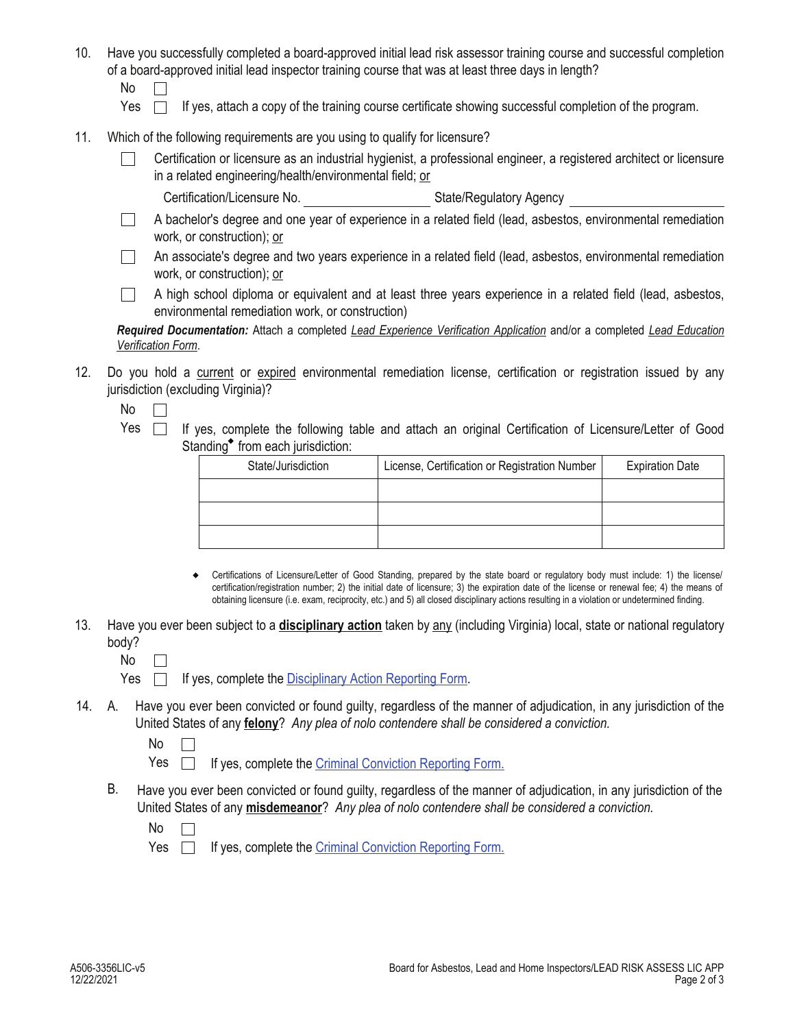- 10. Have you successfully completed a board-approved initial lead risk assessor training course and successful completion of a board-approved initial lead inspector training course that was at least three days in length?
	- No  $\Box$
	- Yes  $\Box$  If yes, attach a copy of the training course certificate showing successful completion of the program.
- 11. Which of the following requirements are you using to qualify for licensure?
	- Certification or licensure as an industrial hygienist, a professional engineer, a registered architect or licensure П in a related engineering/health/environmental field; or
		- Certification/Licensure No. State/Regulatory Agency
	- A bachelor's degree and one year of experience in a related field (lead, asbestos, environmental remediation  $\Box$ work, or construction); or
	- An associate's degree and two years experience in a related field (lead, asbestos, environmental remediation  $\perp$ work, or construction); or
	- A high school diploma or equivalent and at least three years experience in a related field (lead, asbestos,  $\mathbb{R}^n$ environmental remediation work, or construction)

*Required Documentation:* Attach a completed *Lead Experience Verification Application* and/or a completed *Lead Education Verification Form*.

- 12. Do you hold a current or expired environmental remediation license, certification or registration issued by any jurisdiction (excluding Virginia)?
	- $No \Box$
	- Yes  $\Box$  If yes, complete the following table and attach an original Certification of Licensure/Letter of Good Standing<sup>\*</sup> from each jurisdiction:

| State/Jurisdiction | License, Certification or Registration Number | <b>Expiration Date</b> |  |  |
|--------------------|-----------------------------------------------|------------------------|--|--|
|                    |                                               |                        |  |  |
|                    |                                               |                        |  |  |
|                    |                                               |                        |  |  |

- Certifications of Licensure/Letter of Good Standing, prepared by the state board or regulatory body must include: 1) the license/ certification/registration number; 2) the initial date of licensure; 3) the expiration date of the license or renewal fee; 4) the means of obtaining licensure (i.e. exam, reciprocity, etc.) and 5) all closed disciplinary actions resulting in a violation or undetermined finding.
- 13. Have you ever been subject to a **disciplinary action** taken by any (including Virginia) local, state or national regulatory body?
	- No  $\Box$
	- Yes  $\Box$  If yes, complete the Disciplinary Action Reporting Form.
- A. Have you ever been convicted or found guilty, regardless of the manner of adjudication, in any jurisdiction of the 14. United States of any **felony**? *Any plea of nolo contendere shall be considered a conviction.*

No  $\Box$ 

Yes **If yes, complete the Criminal Conviction Reporting Form.** 

B. Have you ever been convicted or found guilty, regardless of the manner of adjudication, in any jurisdiction of the United States of any **misdemeanor**? *Any plea of nolo contendere shall be considered a conviction.*

No  $\Box$ 

Yes  $\Box$  If yes, complete the Criminal Conviction Reporting Form.